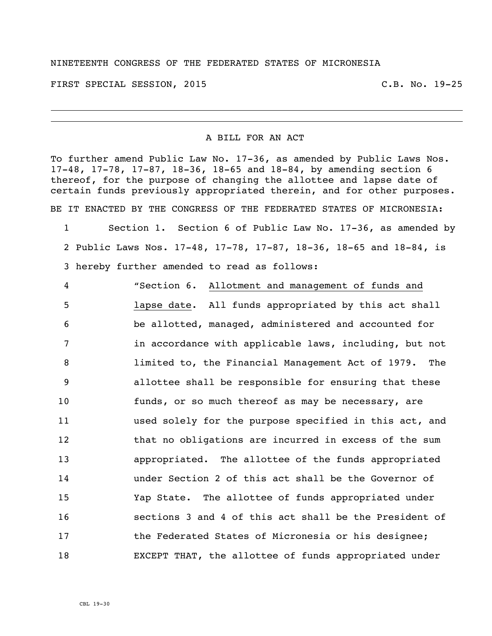## NINETEENTH CONGRESS OF THE FEDERATED STATES OF MICRONESIA

FIRST SPECIAL SESSION, 2015 C.B. No. 19-25

## A BILL FOR AN ACT

To further amend Public Law No. 17-36, as amended by Public Laws Nos. 17-48, 17-78, 17-87, 18-36, 18-65 and 18-84, by amending section 6 thereof, for the purpose of changing the allottee and lapse date of certain funds previously appropriated therein, and for other purposes. BE IT ENACTED BY THE CONGRESS OF THE FEDERATED STATES OF MICRONESIA:

 Section 1. Section 6 of Public Law No. 17-36, as amended by Public Laws Nos. 17-48, 17-78, 17-87, 18-36, 18-65 and 18-84, is hereby further amended to read as follows:

 "Section 6. Allotment and management of funds and lapse date. All funds appropriated by this act shall be allotted, managed, administered and accounted for in accordance with applicable laws, including, but not limited to, the Financial Management Act of 1979. The allottee shall be responsible for ensuring that these funds, or so much thereof as may be necessary, are used solely for the purpose specified in this act, and 12 that no obligations are incurred in excess of the sum appropriated. The allottee of the funds appropriated under Section 2 of this act shall be the Governor of Yap State. The allottee of funds appropriated under sections 3 and 4 of this act shall be the President of the Federated States of Micronesia or his designee; EXCEPT THAT, the allottee of funds appropriated under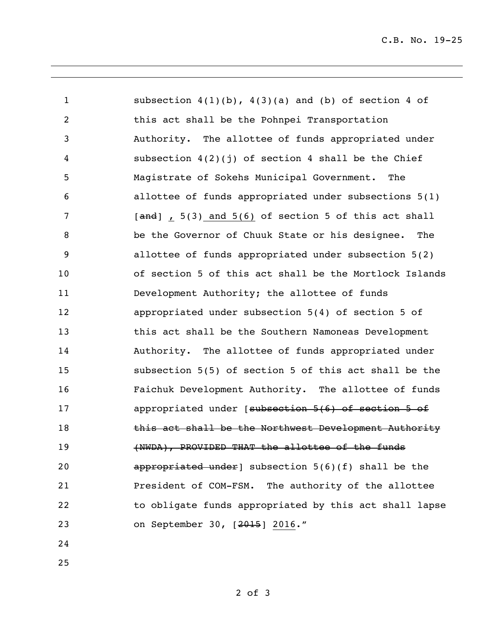subsection 4(1)(b), 4(3)(a) and (b) of section 4 of this act shall be the Pohnpei Transportation Authority. The allottee of funds appropriated under subsection 4(2)(j) of section 4 shall be the Chief Magistrate of Sokehs Municipal Government. The allottee of funds appropriated under subsections 5(1) 7 [and], 5(3) and 5(6) of section 5 of this act shall be the Governor of Chuuk State or his designee. The allottee of funds appropriated under subsection 5(2) of section 5 of this act shall be the Mortlock Islands Development Authority; the allottee of funds appropriated under subsection 5(4) of section 5 of this act shall be the Southern Namoneas Development Authority. The allottee of funds appropriated under subsection 5(5) of section 5 of this act shall be the Faichuk Development Authority. The allottee of funds 17 appropriated under [subsection 5(6) of section 5 of 18 this act shall be the Northwest Development Authority 19 (NWDA), PROVIDED THAT the allottee of the funds **appropriated under**] subsection 5(6)(f) shall be the President of COM-FSM. The authority of the allottee to obligate funds appropriated by this act shall lapse on September 30, [2015] 2016."